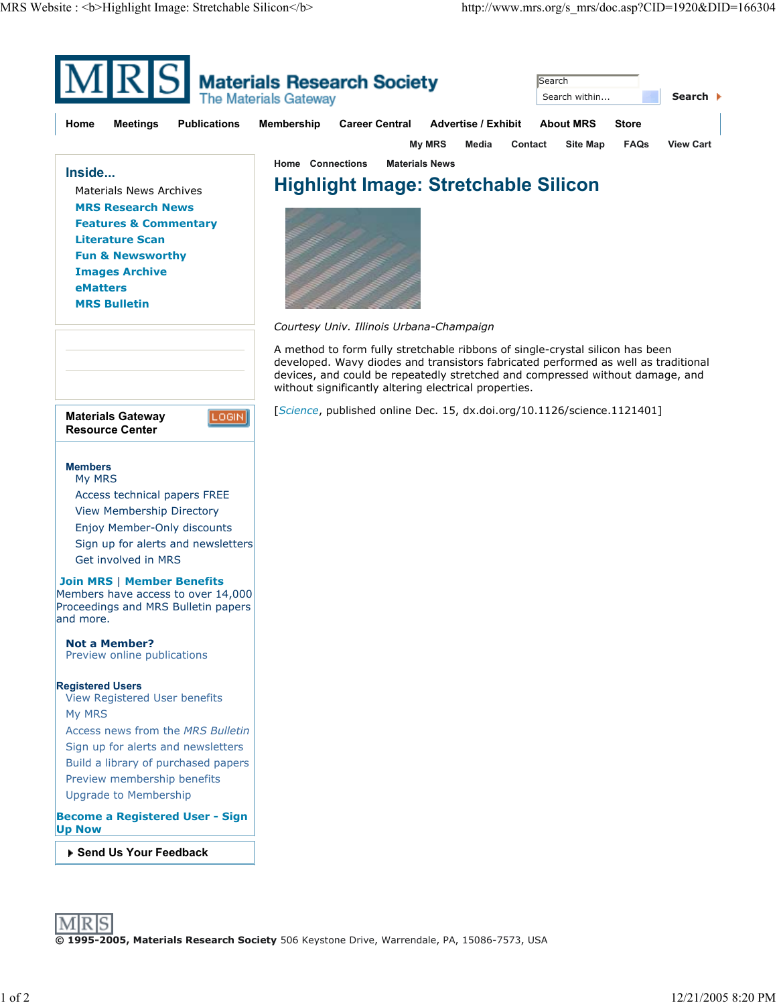